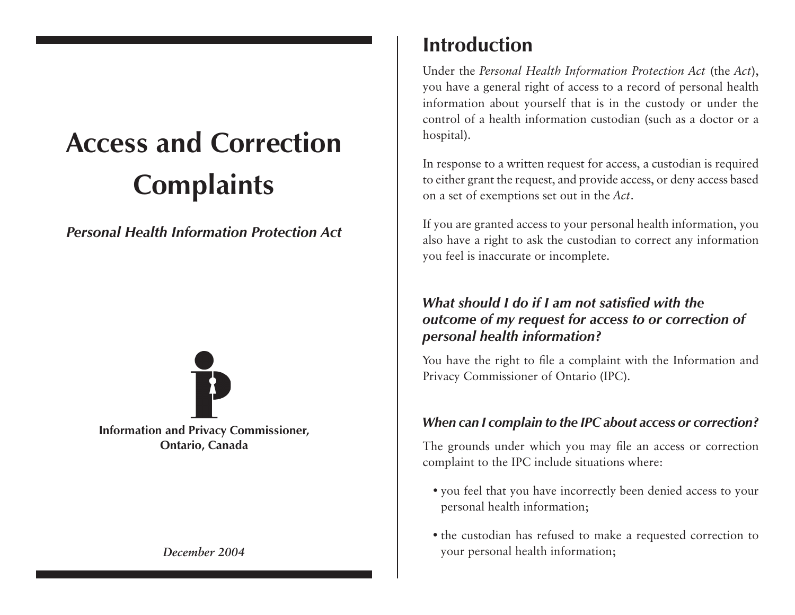# **Access and Correction Complaints**

*Personal Health Information Protection Act*

**Information and Privacy Commissioner, Ontario, Canada**

# **Introduction**

Under the *Personal Health Information Protection Act* (the *Act*), you have a general right of access to a record of personal health information about yourself that is in the custody or under the control of a health information custodian (such as a doctor or a hospital).

In response to a written request for access, a custodian is required to either grant the request, and provide access, or deny access based on a set of exemptions set out in the *Act*.

If you are granted access to your personal health information, you also have a right to ask the custodian to correct any information you feel is inaccurate or incomplete.

# *What should I do if I am not satisfied with the outcome of my request for access to or correction of personal health information?*

You have the right to file a complaint with the Information and Privacy Commissioner of Ontario (IPC).

### *When can I complain to the IPC about access or correction?*

The grounds under which you may file an access or correction complaint to the IPC include situations where:

- you feel that you have incorrectly been denied access to your personal health information;
- the custodian has refused to make a requested correction to **December 2004** your personal health information;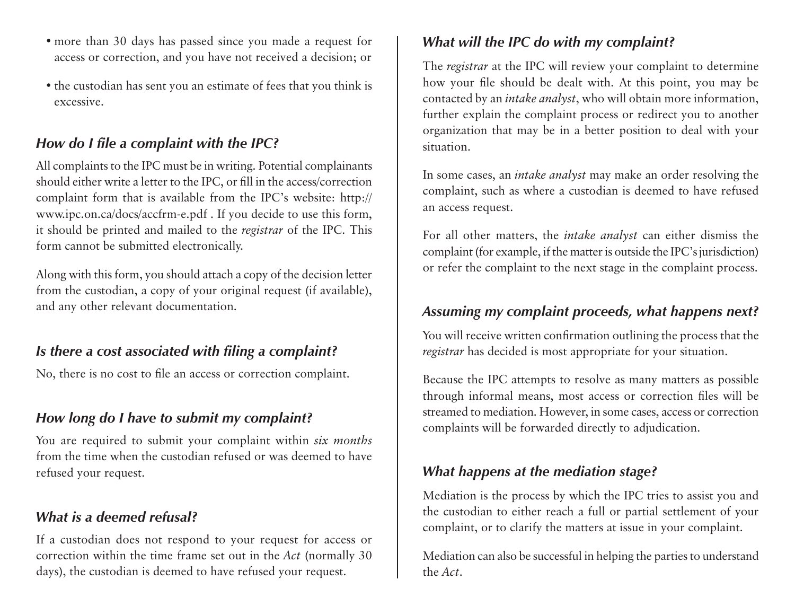- more than 30 days has passed since you made a request for access or correction, and you have not received a decision; or
- the custodian has sent you an estimate of fees that you think is excessive.

# *How do I file a complaint with the IPC?*

All complaints to the IPC must be in writing. Potential complainants should either write a letter to the IPC, or fill in the access/correction complaint form that is available from the IPC's website: http:// www.ipc.on.ca/docs/accfrm-e.pdf . If you decide to use this form, it should be printed and mailed to the *registrar* of the IPC. This form cannot be submitted electronically.

Along with this form, you should attach a copy of the decision letter from the custodian, a copy of your original request (if available), and any other relevant documentation.

# *Is there a cost associated with filing a complaint?*

No, there is no cost to file an access or correction complaint.

# *How long do I have to submit my complaint?*

You are required to submit your complaint within *six months* from the time when the custodian refused or was deemed to have refused your request.

## *What is a deemed refusal?*

If a custodian does not respond to your request for access or correction within the time frame set out in the *Act* (normally 30 days), the custodian is deemed to have refused your request.

# *What will the IPC do with my complaint?*

The *registrar* at the IPC will review your complaint to determine how your file should be dealt with. At this point, you may be contacted by an *intake analyst*, who will obtain more information, further explain the complaint process or redirect you to another organization that may be in a better position to deal with your situation.

In some cases, an *intake analyst* may make an order resolving the complaint, such as where a custodian is deemed to have refused an access request.

For all other matters, the *intake analyst* can either dismiss the complaint (for example, if the matter is outside the IPC's jurisdiction) or refer the complaint to the next stage in the complaint process.

# *Assuming my complaint proceeds, what happens next?*

You will receive written confirmation outlining the process that the *registrar* has decided is most appropriate for your situation.

Because the IPC attempts to resolve as many matters as possible through informal means, most access or correction files will be streamed to mediation. However, in some cases, access or correction complaints will be forwarded directly to adjudication.

# *What happens at the mediation stage?*

Mediation is the process by which the IPC tries to assist you and the custodian to either reach a full or partial settlement of your complaint, or to clarify the matters at issue in your complaint.

Mediation can also be successful in helping the parties to understand the *Act*.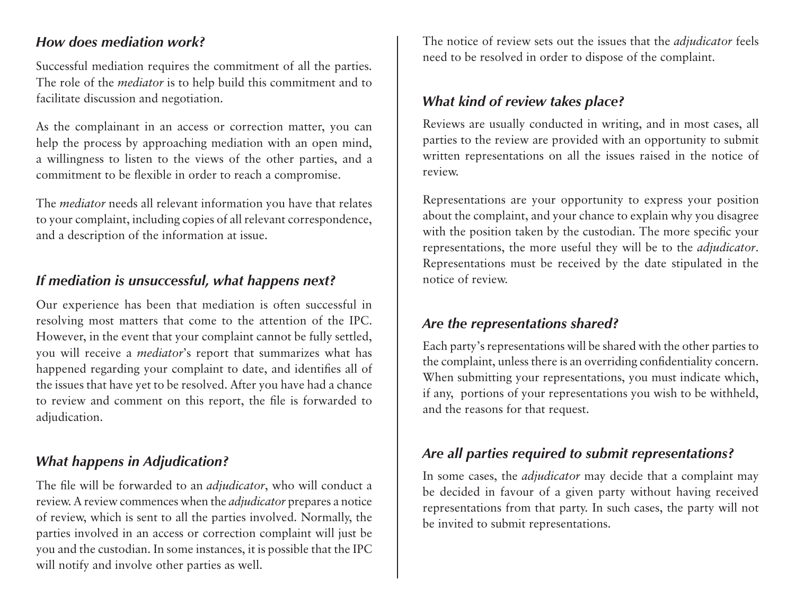# *How does mediation work?*

Successful mediation requires the commitment of all the parties. The role of the *mediator* is to help build this commitment and to facilitate discussion and negotiation.

As the complainant in an access or correction matter, you can help the process by approaching mediation with an open mind, a willingness to listen to the views of the other parties, and a commitment to be flexible in order to reach a compromise.

The *mediator* needs all relevant information you have that relates to your complaint, including copies of all relevant correspondence, and a description of the information at issue.

# *If mediation is unsuccessful, what happens next?*

Our experience has been that mediation is often successful in resolving most matters that come to the attention of the IPC. However, in the event that your complaint cannot be fully settled, you will receive a *mediator*'s report that summarizes what has happened regarding your complaint to date, and identifies all of the issues that have yet to be resolved. After you have had a chance to review and comment on this report, the file is forwarded to adjudication.

# *What happens in Adjudication?*

The file will be forwarded to an *adjudicator*, who will conduct a review. A review commences when the *adjudicator* prepares a notice of review, which is sent to all the parties involved. Normally, the parties involved in an access or correction complaint will just be you and the custodian. In some instances, it is possible that the IPC will notify and involve other parties as well.

The notice of review sets out the issues that the *adjudicator* feels need to be resolved in order to dispose of the complaint.

# *What kind of review takes place?*

Reviews are usually conducted in writing, and in most cases, all parties to the review are provided with an opportunity to submit written representations on all the issues raised in the notice of review.

Representations are your opportunity to express your position about the complaint, and your chance to explain why you disagree with the position taken by the custodian. The more specific your representations, the more useful they will be to the *adjudicator*. Representations must be received by the date stipulated in the notice of review.

# *Are the representations shared?*

Each party's representations will be shared with the other parties to the complaint, unless there is an overriding confidentiality concern. When submitting your representations, you must indicate which, if any, portions of your representations you wish to be withheld, and the reasons for that request.

# *Are all parties required to submit representations?*

In some cases, the *adjudicator* may decide that a complaint may be decided in favour of a given party without having received representations from that party. In such cases, the party will not be invited to submit representations.